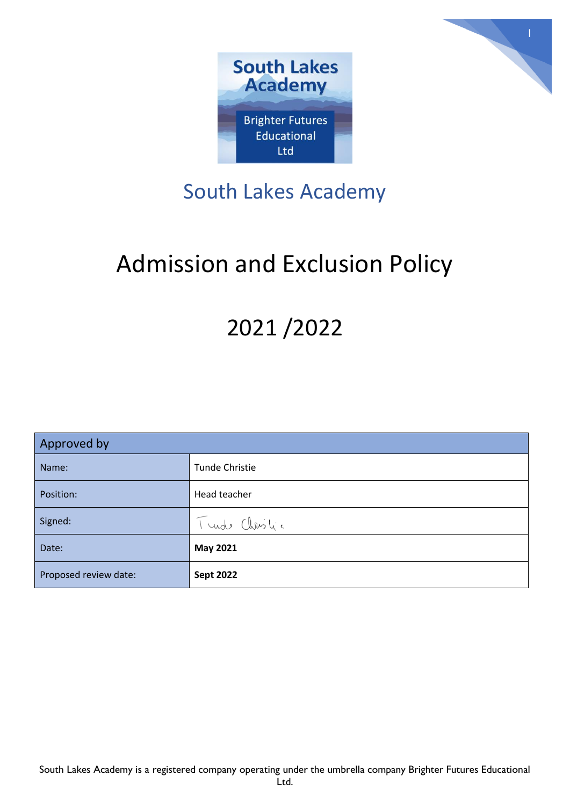



## South Lakes Academy

# Admission and Exclusion Policy

## 2021 /2022

| Approved by           |                       |
|-----------------------|-----------------------|
| Name:                 | <b>Tunde Christie</b> |
| Position:             | Head teacher          |
| Signed:               | Turde Christic        |
| Date:                 | <b>May 2021</b>       |
| Proposed review date: | <b>Sept 2022</b>      |

South Lakes Academy is a registered company operating under the umbrella company Brighter Futures Educational Ltd.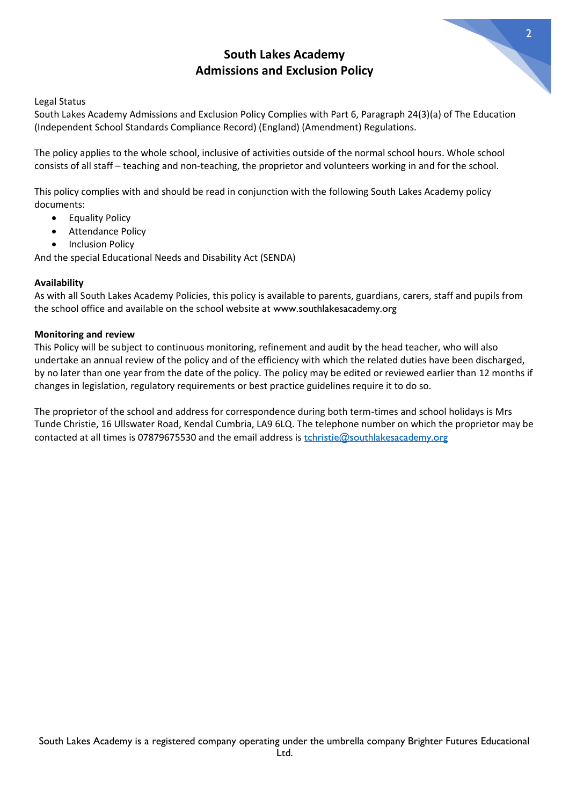### **South Lakes Academy Admissions and Exclusion Policy**



2

Legal Status

South Lakes Academy Admissions and Exclusion Policy Complies with Part 6, Paragraph 24(3)(a) of The Education (Independent School Standards Compliance Record) (England) (Amendment) Regulations.

The policy applies to the whole school, inclusive of activities outside of the normal school hours. Whole school consists of all staff – teaching and non-teaching, the proprietor and volunteers working in and for the school.

This policy complies with and should be read in conjunction with the following South Lakes Academy policy documents:

- Equality Policy
- Attendance Policy
- Inclusion Policy

And the special Educational Needs and Disability Act (SENDA)

#### **Availability**

As with all South Lakes Academy Policies, this policy is available to parents, guardians, carers, staff and pupils from the school office and available on the school website at www.southlakesacademy.org

#### **Monitoring and review**

This Policy will be subject to continuous monitoring, refinement and audit by the head teacher, who will also undertake an annual review of the policy and of the efficiency with which the related duties have been discharged, by no later than one year from the date of the policy. The policy may be edited or reviewed earlier than 12 months if changes in legislation, regulatory requirements or best practice guidelines require it to do so.

The proprietor of the school and address for correspondence during both term-times and school holidays is Mrs Tunde Christie, 16 Ullswater Road, Kendal Cumbria, LA9 6LQ. The telephone number on which the proprietor may be contacted at all times is 07879675530 and the email address is [tchristie@southlakesacademy.org](mailto:tchristie@southlakesacademy.org)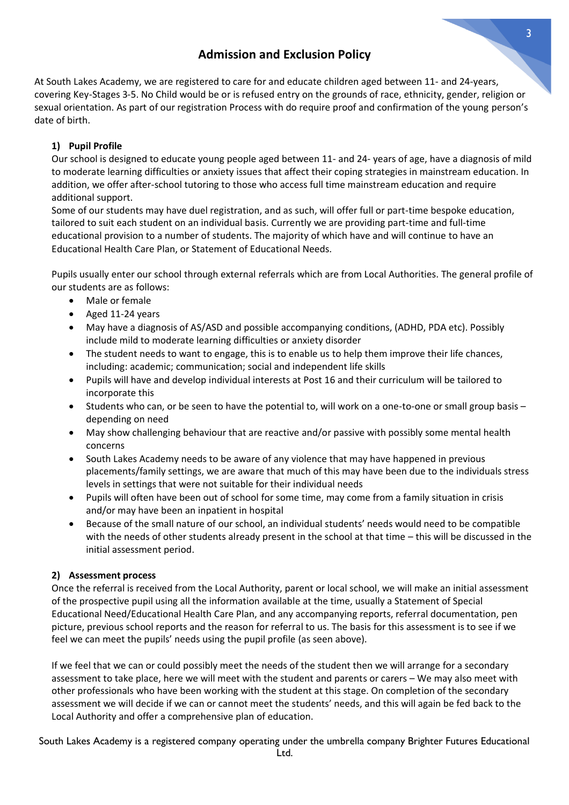### **Admission and Exclusion Policy**

At South Lakes Academy, we are registered to care for and educate children aged between 11- and 24-years, covering Key-Stages 3-5. No Child would be or is refused entry on the grounds of race, ethnicity, gender, religion or sexual orientation. As part of our registration Process with do require proof and confirmation of the young person's date of birth.

#### **1) Pupil Profile**

Our school is designed to educate young people aged between 11- and 24- years of age, have a diagnosis of mild to moderate learning difficulties or anxiety issues that affect their coping strategies in mainstream education. In addition, we offer after-school tutoring to those who access full time mainstream education and require additional support.

Some of our students may have duel registration, and as such, will offer full or part-time bespoke education, tailored to suit each student on an individual basis. Currently we are providing part-time and full-time educational provision to a number of students. The majority of which have and will continue to have an Educational Health Care Plan, or Statement of Educational Needs.

Pupils usually enter our school through external referrals which are from Local Authorities. The general profile of our students are as follows:

- Male or female
- Aged 11-24 years
- May have a diagnosis of AS/ASD and possible accompanying conditions, (ADHD, PDA etc). Possibly include mild to moderate learning difficulties or anxiety disorder
- The student needs to want to engage, this is to enable us to help them improve their life chances, including: academic; communication; social and independent life skills
- Pupils will have and develop individual interests at Post 16 and their curriculum will be tailored to incorporate this
- Students who can, or be seen to have the potential to, will work on a one-to-one or small group basis depending on need
- May show challenging behaviour that are reactive and/or passive with possibly some mental health concerns
- South Lakes Academy needs to be aware of any violence that may have happened in previous placements/family settings, we are aware that much of this may have been due to the individuals stress levels in settings that were not suitable for their individual needs
- Pupils will often have been out of school for some time, may come from a family situation in crisis and/or may have been an inpatient in hospital
- Because of the small nature of our school, an individual students' needs would need to be compatible with the needs of other students already present in the school at that time – this will be discussed in the initial assessment period.

#### **2) Assessment process**

Once the referral is received from the Local Authority, parent or local school, we will make an initial assessment of the prospective pupil using all the information available at the time, usually a Statement of Special Educational Need/Educational Health Care Plan, and any accompanying reports, referral documentation, pen picture, previous school reports and the reason for referral to us. The basis for this assessment is to see if we feel we can meet the pupils' needs using the pupil profile (as seen above).

If we feel that we can or could possibly meet the needs of the student then we will arrange for a secondary assessment to take place, here we will meet with the student and parents or carers – We may also meet with other professionals who have been working with the student at this stage. On completion of the secondary assessment we will decide if we can or cannot meet the students' needs, and this will again be fed back to the Local Authority and offer a comprehensive plan of education.

South Lakes Academy is a registered company operating under the umbrella company Brighter Futures Educational Ltd.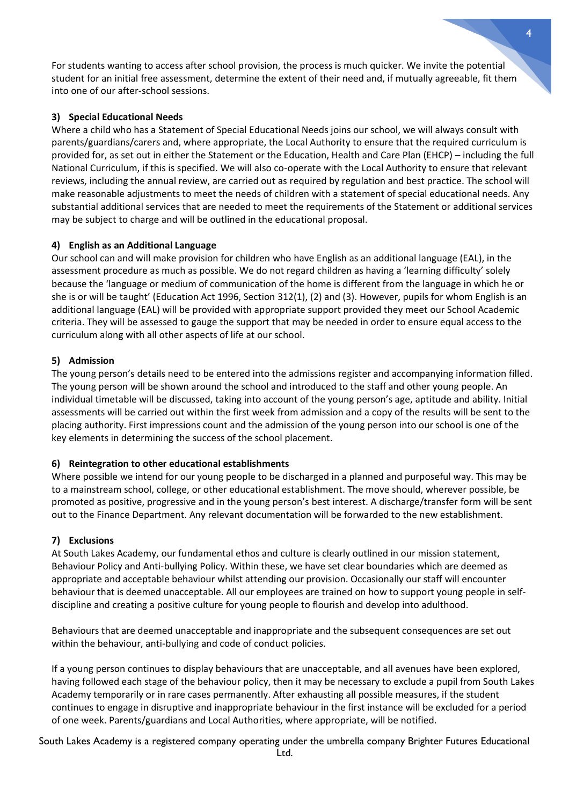For students wanting to access after school provision, the process is much quicker. We invite the potential student for an initial free assessment, determine the extent of their need and, if mutually agreeable, fit them into one of our after-school sessions.

#### **3) Special Educational Needs**

Where a child who has a Statement of Special Educational Needs joins our school, we will always consult with parents/guardians/carers and, where appropriate, the Local Authority to ensure that the required curriculum is provided for, as set out in either the Statement or the Education, Health and Care Plan (EHCP) – including the full National Curriculum, if this is specified. We will also co-operate with the Local Authority to ensure that relevant reviews, including the annual review, are carried out as required by regulation and best practice. The school will make reasonable adjustments to meet the needs of children with a statement of special educational needs. Any substantial additional services that are needed to meet the requirements of the Statement or additional services may be subject to charge and will be outlined in the educational proposal.

#### **4) English as an Additional Language**

Our school can and will make provision for children who have English as an additional language (EAL), in the assessment procedure as much as possible. We do not regard children as having a 'learning difficulty' solely because the 'language or medium of communication of the home is different from the language in which he or she is or will be taught' (Education Act 1996, Section 312(1), (2) and (3). However, pupils for whom English is an additional language (EAL) will be provided with appropriate support provided they meet our School Academic criteria. They will be assessed to gauge the support that may be needed in order to ensure equal access to the curriculum along with all other aspects of life at our school.

#### **5) Admission**

The young person's details need to be entered into the admissions register and accompanying information filled. The young person will be shown around the school and introduced to the staff and other young people. An individual timetable will be discussed, taking into account of the young person's age, aptitude and ability. Initial assessments will be carried out within the first week from admission and a copy of the results will be sent to the placing authority. First impressions count and the admission of the young person into our school is one of the key elements in determining the success of the school placement.

#### **6) Reintegration to other educational establishments**

Where possible we intend for our young people to be discharged in a planned and purposeful way. This may be to a mainstream school, college, or other educational establishment. The move should, wherever possible, be promoted as positive, progressive and in the young person's best interest. A discharge/transfer form will be sent out to the Finance Department. Any relevant documentation will be forwarded to the new establishment.

#### **7) Exclusions**

At South Lakes Academy, our fundamental ethos and culture is clearly outlined in our mission statement, Behaviour Policy and Anti-bullying Policy. Within these, we have set clear boundaries which are deemed as appropriate and acceptable behaviour whilst attending our provision. Occasionally our staff will encounter behaviour that is deemed unacceptable. All our employees are trained on how to support young people in selfdiscipline and creating a positive culture for young people to flourish and develop into adulthood.

Behaviours that are deemed unacceptable and inappropriate and the subsequent consequences are set out within the behaviour, anti-bullying and code of conduct policies.

If a young person continues to display behaviours that are unacceptable, and all avenues have been explored, having followed each stage of the behaviour policy, then it may be necessary to exclude a pupil from South Lakes Academy temporarily or in rare cases permanently. After exhausting all possible measures, if the student continues to engage in disruptive and inappropriate behaviour in the first instance will be excluded for a period of one week. Parents/guardians and Local Authorities, where appropriate, will be notified.

South Lakes Academy is a registered company operating under the umbrella company Brighter Futures Educational Ltd.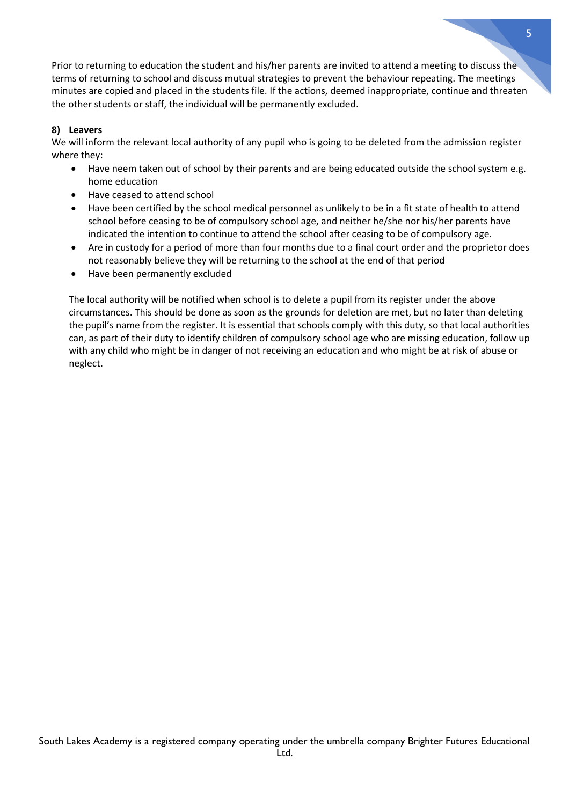Prior to returning to education the student and his/her parents are invited to attend a meeting to discuss the terms of returning to school and discuss mutual strategies to prevent the behaviour repeating. The meetings minutes are copied and placed in the students file. If the actions, deemed inappropriate, continue and threaten the other students or staff, the individual will be permanently excluded.

#### **8) Leavers**

We will inform the relevant local authority of any pupil who is going to be deleted from the admission register where they:

- Have neem taken out of school by their parents and are being educated outside the school system e.g. home education
- Have ceased to attend school
- Have been certified by the school medical personnel as unlikely to be in a fit state of health to attend school before ceasing to be of compulsory school age, and neither he/she nor his/her parents have indicated the intention to continue to attend the school after ceasing to be of compulsory age.
- Are in custody for a period of more than four months due to a final court order and the proprietor does not reasonably believe they will be returning to the school at the end of that period
- Have been permanently excluded

The local authority will be notified when school is to delete a pupil from its register under the above circumstances. This should be done as soon as the grounds for deletion are met, but no later than deleting the pupil's name from the register. It is essential that schools comply with this duty, so that local authorities can, as part of their duty to identify children of compulsory school age who are missing education, follow up with any child who might be in danger of not receiving an education and who might be at risk of abuse or neglect.